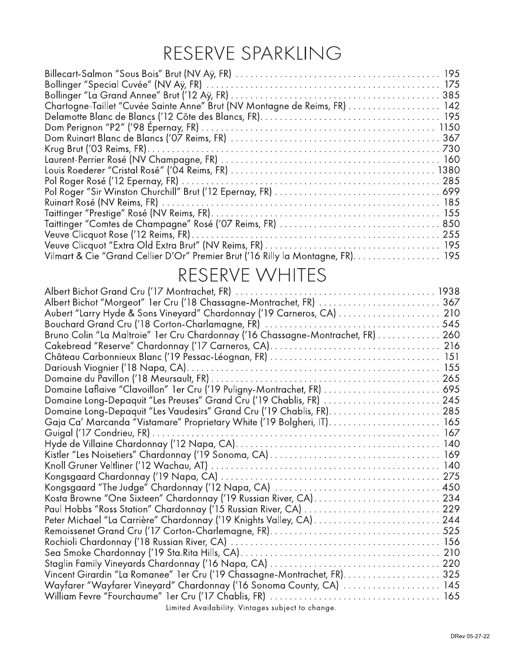## RESERVE SPARKLING

| Chartogne-Taillet "Cuvée Sainte Anne" Brut (NV Montagne de Reims, FR) 142        |  |
|----------------------------------------------------------------------------------|--|
|                                                                                  |  |
|                                                                                  |  |
|                                                                                  |  |
|                                                                                  |  |
|                                                                                  |  |
|                                                                                  |  |
|                                                                                  |  |
|                                                                                  |  |
|                                                                                  |  |
|                                                                                  |  |
|                                                                                  |  |
|                                                                                  |  |
|                                                                                  |  |
| Vilmart & Cie "Grand Cellier D'Or" Premier Brut ('16 Rilly la Montagne, FR). 195 |  |

#### RESERVE WHITES

| Albert Bichot "Morgeot" 1er Cru ('18 Chassagne-Montrachet, FR)  367             |  |
|---------------------------------------------------------------------------------|--|
|                                                                                 |  |
|                                                                                 |  |
| Bruno Colin "La Maltroie" 1er Cru Chardonnay ('16 Chassagne-Montrachet, FR) 260 |  |
|                                                                                 |  |
|                                                                                 |  |
|                                                                                 |  |
|                                                                                 |  |
| Domaine Laflaive "Clavoillon" 1er Cru ('19 Puligny-Montrachet, FR)  695         |  |
| Domaine Long-Depaquit "Les Preuses" Grand Cru ('19 Chablis, FR)  245            |  |
|                                                                                 |  |
|                                                                                 |  |
|                                                                                 |  |
|                                                                                 |  |
|                                                                                 |  |
|                                                                                 |  |
|                                                                                 |  |
|                                                                                 |  |
| Kosta Browne "One Sixteen" Chardonnay ('19 Russian River, CA) 234               |  |
|                                                                                 |  |
|                                                                                 |  |
|                                                                                 |  |
|                                                                                 |  |
|                                                                                 |  |
|                                                                                 |  |
| Vincent Girardin "La Romanee" 1er Cru ('19 Chassagne-Montrachet, FR). 325       |  |
| Wayfarer "Wayfarer Vineyard" Chardonnay ('16 Sonoma County, CA)  145            |  |
|                                                                                 |  |
| Limited Availability. Vintages subject to change.                               |  |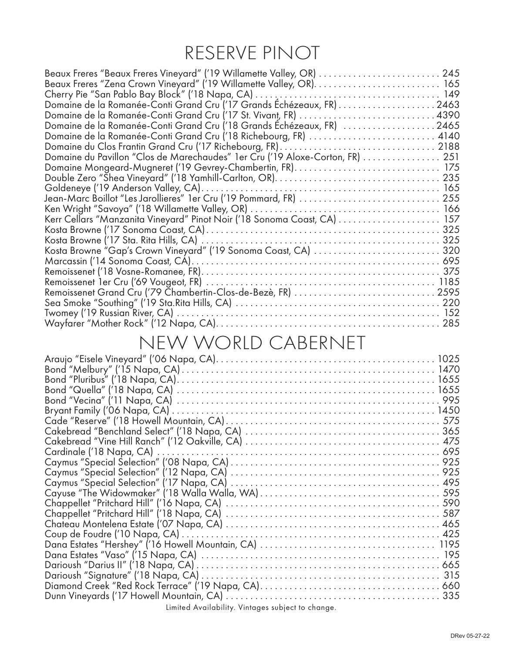## RESERVE PINOT

| Domaine de la Romanée-Conti Grand Cru ('18 Grands Échézeaux, FR) 2465         |  |
|-------------------------------------------------------------------------------|--|
|                                                                               |  |
|                                                                               |  |
| Domaine du Pavillon "Clos de Marechaudes" 1er Cru ('19 Aloxe-Corton, FR)  251 |  |
| Domaine Mongeard-Mugneret ('19 Gevrey-Chambertin, FR) 175                     |  |
|                                                                               |  |
|                                                                               |  |
|                                                                               |  |
|                                                                               |  |
|                                                                               |  |
|                                                                               |  |
|                                                                               |  |
| Kosta Browne "Gap's Crown Vineyard" ('19 Sonoma Coast, CA)  320               |  |
|                                                                               |  |
|                                                                               |  |
|                                                                               |  |
|                                                                               |  |
|                                                                               |  |
|                                                                               |  |
|                                                                               |  |
|                                                                               |  |

# NEW WORLD CABERNET

|                                                   | 335 |
|---------------------------------------------------|-----|
| Limited Availability. Vintages subject to change. |     |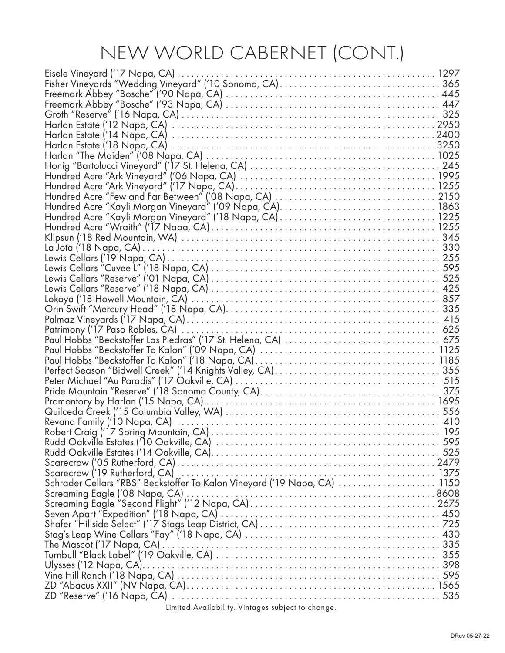# NEW WORLD CABERNET (CONT.)

| Schrader Cellars "RBS" Beckstoffer To Kalon Vineyard ('19 Napa, CA)  1150 |  |
|---------------------------------------------------------------------------|--|
|                                                                           |  |
|                                                                           |  |
|                                                                           |  |
|                                                                           |  |
|                                                                           |  |
|                                                                           |  |
|                                                                           |  |
|                                                                           |  |
|                                                                           |  |
|                                                                           |  |
|                                                                           |  |
|                                                                           |  |
| Limited Availability. Vintages subject to change.                         |  |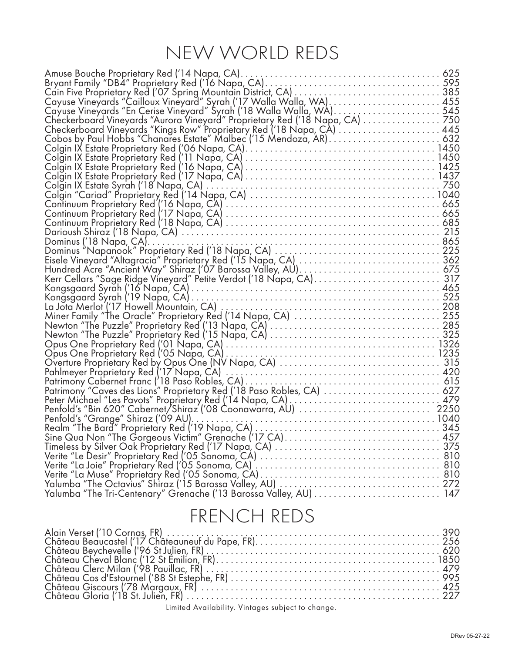# NEW WORLD REDS

| Amuse Bouche Proprietary Red ('14 Napa, CA).                                                                                                                                                                                               |  |
|--------------------------------------------------------------------------------------------------------------------------------------------------------------------------------------------------------------------------------------------|--|
|                                                                                                                                                                                                                                            |  |
|                                                                                                                                                                                                                                            |  |
|                                                                                                                                                                                                                                            |  |
|                                                                                                                                                                                                                                            |  |
|                                                                                                                                                                                                                                            |  |
|                                                                                                                                                                                                                                            |  |
|                                                                                                                                                                                                                                            |  |
| Colgin IX Estate Proprietary Red ('06 Napa, CA)<br>Colgin IX Estate Proprietary Red ('06 Napa, CA)<br>Colgin IX Estate Proprietary Red ('11 Napa, CA)<br>Colgin IX Estate Proprietary Red ('16 Napa, CA)<br>Colgin IX Estate Proprietary R |  |
|                                                                                                                                                                                                                                            |  |
|                                                                                                                                                                                                                                            |  |
|                                                                                                                                                                                                                                            |  |
|                                                                                                                                                                                                                                            |  |
|                                                                                                                                                                                                                                            |  |
|                                                                                                                                                                                                                                            |  |
|                                                                                                                                                                                                                                            |  |
| Colgin IX Estate Syrah ('18 Napa, CA)<br>Colgin "Cariad" Proprietary Red ('14 Napa, CA)<br>Continuum Proprietary Red ('16 Napa, CA)<br>Continuum Proprietary Red ('17 Napa, CA)<br>Continuum Proprietary Red ('17 Napa, CA)                |  |
|                                                                                                                                                                                                                                            |  |
|                                                                                                                                                                                                                                            |  |
|                                                                                                                                                                                                                                            |  |
|                                                                                                                                                                                                                                            |  |
|                                                                                                                                                                                                                                            |  |
|                                                                                                                                                                                                                                            |  |
|                                                                                                                                                                                                                                            |  |
|                                                                                                                                                                                                                                            |  |
|                                                                                                                                                                                                                                            |  |
|                                                                                                                                                                                                                                            |  |
|                                                                                                                                                                                                                                            |  |
|                                                                                                                                                                                                                                            |  |
|                                                                                                                                                                                                                                            |  |
|                                                                                                                                                                                                                                            |  |
|                                                                                                                                                                                                                                            |  |
|                                                                                                                                                                                                                                            |  |
| Newton The ruzzie rroprietary Red (13 Napa, CA)<br>Opus One Proprietary Red ('01 Napa, CA)<br>Opus One Proprietary Red ('05 Napa, CA)<br>Overture Proprietary Red ('05 Napa, CA)<br>Overture Proprietary Red ('17 Napa, CA)<br>Pahlmeyer   |  |
|                                                                                                                                                                                                                                            |  |
|                                                                                                                                                                                                                                            |  |
|                                                                                                                                                                                                                                            |  |
|                                                                                                                                                                                                                                            |  |
|                                                                                                                                                                                                                                            |  |
|                                                                                                                                                                                                                                            |  |
|                                                                                                                                                                                                                                            |  |
|                                                                                                                                                                                                                                            |  |
|                                                                                                                                                                                                                                            |  |
|                                                                                                                                                                                                                                            |  |
|                                                                                                                                                                                                                                            |  |
|                                                                                                                                                                                                                                            |  |
|                                                                                                                                                                                                                                            |  |
|                                                                                                                                                                                                                                            |  |

#### FRENCH REDS

| $\lim_{x\to a} A_{\text{valid}}$ |  |
|----------------------------------|--|

Limited Availability. Vintages subject to change.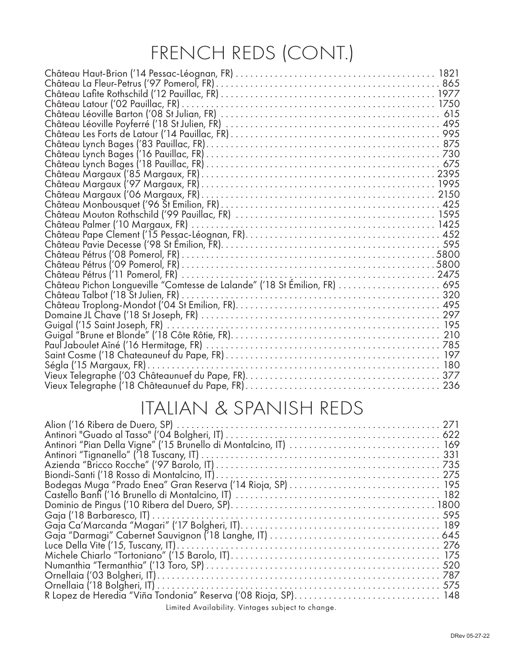# FRENCH REDS (CONT.)

### ITALIAN & SPANISH REDS

| R Lopez de Heredia "Viña Tondonia" Reserva ('08 Rioja, SP) 148 |  |
|----------------------------------------------------------------|--|
| Limited Availability. Vintages subject to change.              |  |